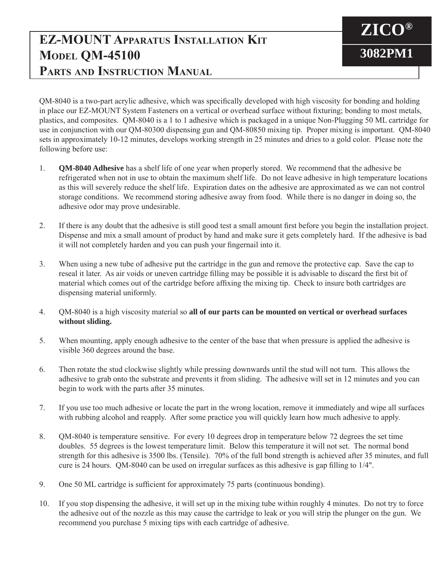## **EZ-MOUNT Apparatus Installation Kit MODEL QM-45100 Parts and Instruction Manual**

QM-8040 is a two-part acrylic adhesive, which was specifically developed with high viscosity for bonding and holding in place our EZ-MOUNT System Fasteners on a vertical or overhead surface without fixturing; bonding to most metals, plastics, and composites. QM-8040 is a 1 to 1 adhesive which is packaged in a unique Non-Plugging 50 ML cartridge for use in conjunction with our QM-80300 dispensing gun and QM-80850 mixing tip. Proper mixing is important. QM-8040 sets in approximately 10-12 minutes, develops working strength in 25 minutes and dries to a gold color. Please note the following before use:

**ZICO®**

**3082PM1**

- 1. **QM-8040 Adhesive** has a shelf life of one year when properly stored. We recommend that the adhesive be refrigerated when not in use to obtain the maximum shelf life. Do not leave adhesive in high temperature locations as this will severely reduce the shelf life. Expiration dates on the adhesive are approximated as we can not control storage conditions. We recommend storing adhesive away from food. While there is no danger in doing so, the adhesive odor may prove undesirable.
- 2. If there is any doubt that the adhesive is still good test a small amount first before you begin the installation project. Dispense and mix a small amount of product by hand and make sure it gets completely hard. If the adhesive is bad it will not completely harden and you can push your fingernail into it.
- 3. When using a new tube of adhesive put the cartridge in the gun and remove the protective cap. Save the cap to reseal it later. As air voids or uneven cartridge filling may be possible it is advisable to discard the first bit of material which comes out of the cartridge before affixing the mixing tip. Check to insure both cartridges are dispensing material uniformly.
- 4. QM-8040 is a high viscosity material so **all of our parts can be mounted on vertical or overhead surfaces without sliding.**
- 5. When mounting, apply enough adhesive to the center of the base that when pressure is applied the adhesive is visible 360 degrees around the base.
- 6. Then rotate the stud clockwise slightly while pressing downwards until the stud will not turn. This allows the adhesive to grab onto the substrate and prevents it from sliding. The adhesive will set in 12 minutes and you can begin to work with the parts after 35 minutes.
- 7. If you use too much adhesive or locate the part in the wrong location, remove it immediately and wipe all surfaces with rubbing alcohol and reapply. After some practice you will quickly learn how much adhesive to apply.
- 8. QM-8040 is temperature sensitive. For every 10 degrees drop in temperature below 72 degrees the set time doubles. 55 degrees is the lowest temperature limit. Below this temperature it will not set. The normal bond strength for this adhesive is 3500 lbs. (Tensile). 70% of the full bond strength is achieved after 35 minutes, and full cure is 24 hours. QM-8040 can be used on irregular surfaces as this adhesive is gap filling to 1/4".
- 9. One 50 ML cartridge is sufficient for approximately 75 parts (continuous bonding).
- 10. If you stop dispensing the adhesive, it will set up in the mixing tube within roughly 4 minutes. Do not try to force the adhesive out of the nozzle as this may cause the cartridge to leak or you will strip the plunger on the gun. We recommend you purchase 5 mixing tips with each cartridge of adhesive.